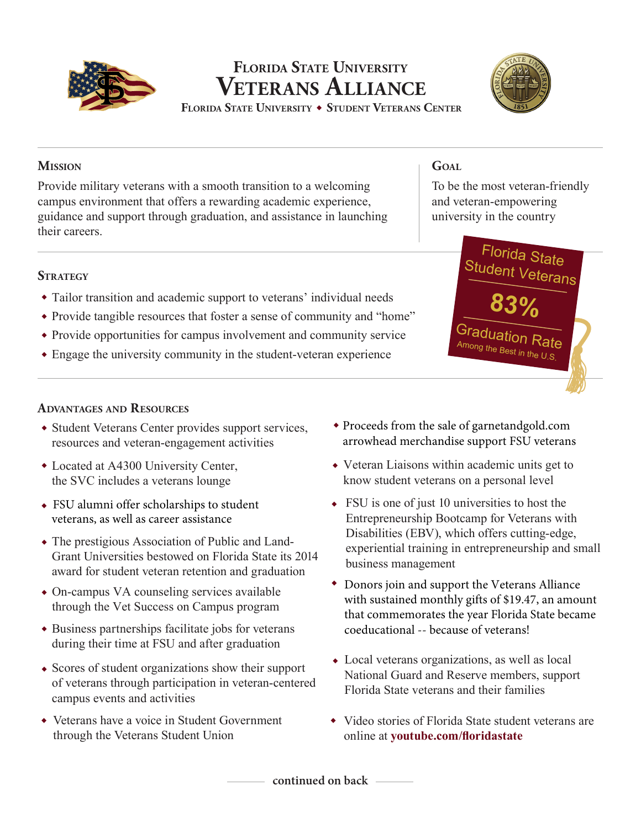

# **Veterans Alliance Florida State University FLORIDA STATE UNIVERSITY ◆ STUDENT VETERANS CENTER**



Provide military veterans with a smooth transition to a welcoming campus environment that offers a rewarding academic experience, guidance and support through graduation, and assistance in launching their careers.

## **STRATEGY**

- Tailor transition and academic support to veterans' individual needs ◆
- Provide tangible resources that foster a sense of community and "home" ◆
- Provide opportunities for campus involvement and community service ◆
- Engage the university community in the student-veteran experience ◆

### **Advantages and Resources**

- Student Veterans Center provides support services, resources and veteran-engagement activities
- Located at A4300 University Center, ◆ the SVC includes a veterans lounge
- ◆ FSU alumni offer scholarships to student veterans, as well as career assistance
- The prestigious Association of Public and Land-◆ Grant Universities bestowed on Florida State its 2014 award for student veteran retention and graduation
- On-campus VA counseling services available ◆ through the Vet Success on Campus program
- Business partnerships facilitate jobs for veterans ◆ during their time at FSU and after graduation
- Scores of student organizations show their support ◆ of veterans through participation in veteran-centered campus events and activities
- Veterans have a voice in Student Government ◆ through the Veterans Student Union
- ◆ Proceeds from the sale of garnetandgold.com arrowhead merchandise support FSU veterans
- Veteran Liaisons within academic units get to ◆know student veterans on a personal level
- FSU is one of just 10 universities to host the Entrepreneurship Bootcamp for Veterans with Disabilities (EBV), which offers cutting-edge, experiential training in entrepreneurship and small business management
- ◆ Donors join and support the Veterans Alliance with sustained monthly gifts of \$19.47, an amount that commemorates the year Florida State became coeducational -- because of veterans!
- Local veterans organizations, as well as local ◆ National Guard and Reserve members, support Florida State veterans and their families
- ◆ Video stories of Florida State student veterans are online at **youtube.com/floridastate**

**Mission Goal**

To be the most veteran-friendly and veteran-empowering university in the country



**continued on back**